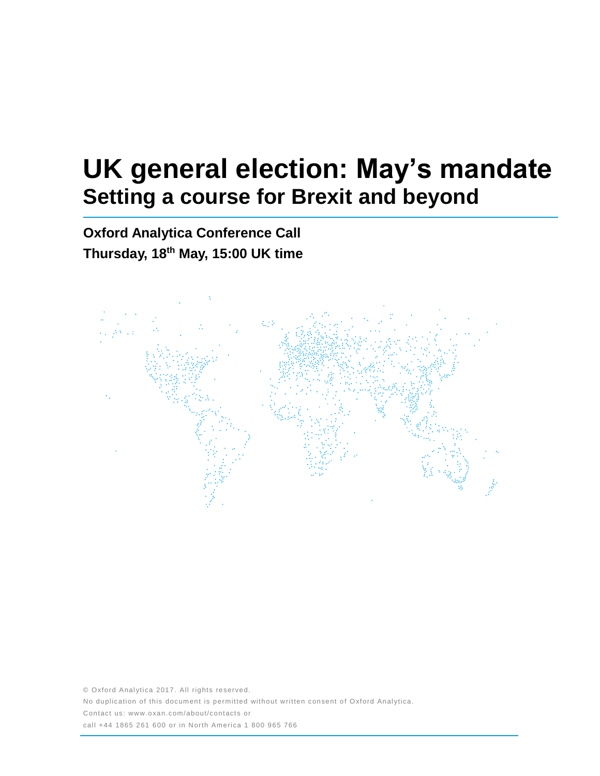# **UK general election: May's mandate Setting a course for Brexit and beyond**

**Oxford Analytica Conference Call Thursday, 18th May, 15:00 UK time**



© Oxford Analytica 2017. All rights reserved. No duplication of this document is permitted without written consent of Oxford Analytica. Contact us: www.oxan.com/about/contacts or call +44 1865 261 600 or in North America 1 800 965 766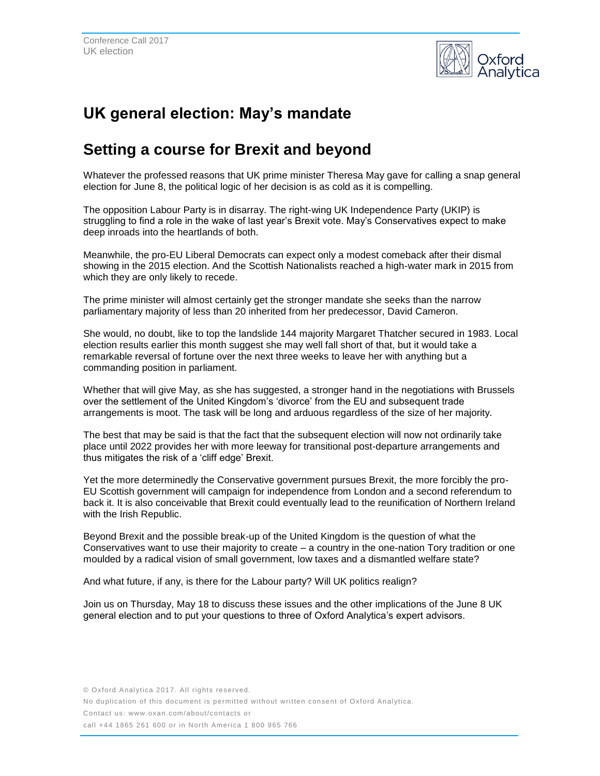

# **UK general election: May's mandate**

## **Setting a course for Brexit and beyond**

Whatever the professed reasons that UK prime minister Theresa May gave for calling a snap general election for June 8, the political logic of her decision is as cold as it is compelling.

The opposition Labour Party is in disarray. The right-wing UK Independence Party (UKIP) is struggling to find a role in the wake of last year's Brexit vote. May's Conservatives expect to make deep inroads into the heartlands of both.

Meanwhile, the pro-EU Liberal Democrats can expect only a modest comeback after their dismal showing in the 2015 election. And the Scottish Nationalists reached a high-water mark in 2015 from which they are only likely to recede.

The prime minister will almost certainly get the stronger mandate she seeks than the narrow parliamentary majority of less than 20 inherited from her predecessor, David Cameron.

She would, no doubt, like to top the landslide 144 majority Margaret Thatcher secured in 1983. Local election results earlier this month suggest she may well fall short of that, but it would take a remarkable reversal of fortune over the next three weeks to leave her with anything but a commanding position in parliament.

Whether that will give May, as she has suggested, a stronger hand in the negotiations with Brussels over the settlement of the United Kingdom's 'divorce' from the EU and subsequent trade arrangements is moot. The task will be long and arduous regardless of the size of her majority.

The best that may be said is that the fact that the subsequent election will now not ordinarily take place until 2022 provides her with more leeway for transitional post-departure arrangements and thus mitigates the risk of a 'cliff edge' Brexit.

Yet the more determinedly the Conservative government pursues Brexit, the more forcibly the pro-EU Scottish government will campaign for independence from London and a second referendum to back it. It is also conceivable that Brexit could eventually lead to the reunification of Northern Ireland with the Irish Republic.

Beyond Brexit and the possible break-up of the United Kingdom is the question of what the Conservatives want to use their majority to create – a country in the one-nation Tory tradition or one moulded by a radical vision of small government, low taxes and a dismantled welfare state?

And what future, if any, is there for the Labour party? Will UK politics realign?

Join us on Thursday, May 18 to discuss these issues and the other implications of the June 8 UK general election and to put your questions to three of Oxford Analytica's expert advisors.

No duplication of this document is permitted without written consent of Oxford Analytica.

Contact us: www.oxan.com/about/contacts or

call +44 1865 261 600 or in North America 1 800 965 766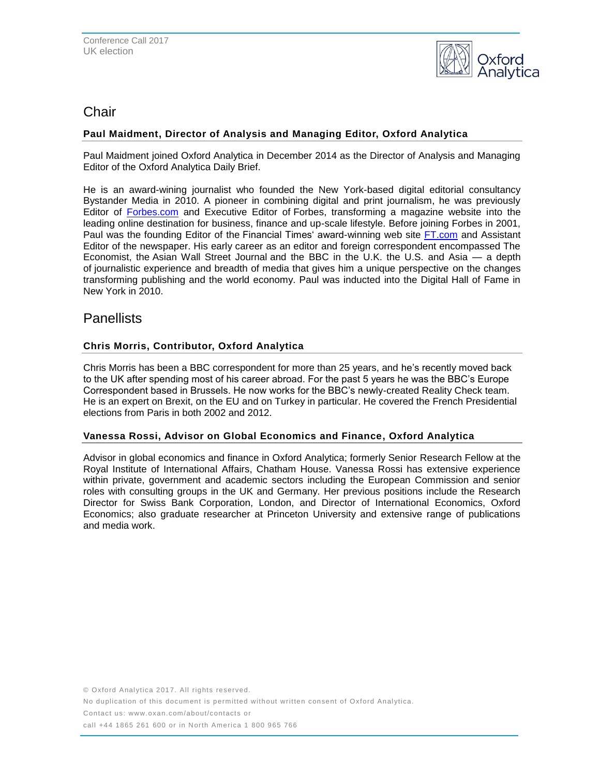

### Chair

#### **Paul Maidment, Director of Analysis and Managing Editor, Oxford Analytica**

Paul Maidment joined Oxford Analytica in December 2014 as the Director of Analysis and Managing Editor of the Oxford Analytica Daily Brief.

He is an award-wining journalist who founded the New York-based digital editorial consultancy Bystander Media in 2010. A pioneer in combining digital and print journalism, he was previously Editor of [Forbes.com](http://forbes.com/) and Executive Editor of Forbes, transforming a magazine website into the leading online destination for business, finance and up-scale lifestyle. Before joining Forbes in 2001, Paul was the founding Editor of the Financial Times' award-winning web site [FT.com](http://ft.com/) and Assistant Editor of the newspaper. His early career as an editor and foreign correspondent encompassed The Economist, the Asian Wall Street Journal and the BBC in the U.K. the U.S. and Asia — a depth of journalistic experience and breadth of media that gives him a unique perspective on the changes transforming publishing and the world economy. Paul was inducted into the Digital Hall of Fame in New York in 2010.

## **Panellists**

#### **Chris Morris, Contributor, Oxford Analytica**

Chris Morris has been a BBC correspondent for more than 25 years, and he's recently moved back to the UK after spending most of his career abroad. For the past 5 years he was the BBC's Europe Correspondent based in Brussels. He now works for the BBC's newly-created Reality Check team. He is an expert on Brexit, on the EU and on Turkey in particular. He covered the French Presidential elections from Paris in both 2002 and 2012.

#### **Vanessa Rossi, Advisor on Global Economics and Finance, Oxford Analytica**

Advisor in global economics and finance in Oxford Analytica; formerly Senior Research Fellow at the Royal Institute of International Affairs, Chatham House. Vanessa Rossi has extensive experience within private, government and academic sectors including the European Commission and senior roles with consulting groups in the UK and Germany. Her previous positions include the Research Director for Swiss Bank Corporation, London, and Director of International Economics, Oxford Economics; also graduate researcher at Princeton University and extensive range of publications and media work.